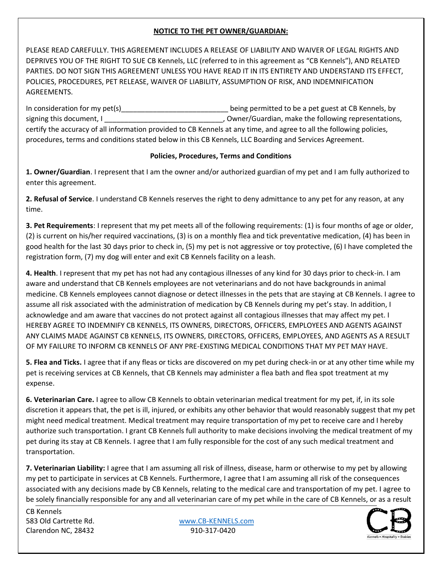PLEASE READ CAREFULLY. THIS AGREEMENT INCLUDES A RELEASE OF LIABILITY AND WAIVER OF LEGAL RIGHTS AND DEPRIVES YOU OF THE RIGHT TO SUE CB Kennels, LLC (referred to in this agreement as "CB Kennels"), AND RELATED PARTIES. DO NOT SIGN THIS AGREEMENT UNLESS YOU HAVE READ IT IN ITS ENTIRETY AND UNDERSTAND ITS EFFECT, POLICIES, PROCEDURES, PET RELEASE, WAIVER OF LIABILITY, ASSUMPTION OF RISK, AND INDEMNIFICATION AGREEMENTS.

In consideration for my pet(s)\_\_\_\_\_\_\_\_\_\_\_\_\_\_\_\_\_\_\_\_\_\_\_\_\_\_\_\_\_\_\_\_\_\_\_being permitted to be a pet guest at CB Kennels, by signing this document, I \_\_\_\_\_\_\_\_\_\_\_\_\_\_\_\_\_\_\_\_\_\_\_\_\_\_\_\_\_\_, Owner/Guardian, make the following representations, certify the accuracy of all information provided to CB Kennels at any time, and agree to all the following policies, procedures, terms and conditions stated below in this CB Kennels, LLC Boarding and Services Agreement.

#### **Policies, Procedures, Terms and Conditions**

**1. Owner/Guardian**. I represent that I am the owner and/or authorized guardian of my pet and I am fully authorized to enter this agreement.

**2. Refusal of Service**. I understand CB Kennels reserves the right to deny admittance to any pet for any reason, at any time.

**3. Pet Requirements**: I represent that my pet meets all of the following requirements: (1) is four months of age or older, (2) is current on his/her required vaccinations, (3) is on a monthly flea and tick preventative medication, (4) has been in good health for the last 30 days prior to check in, (5) my pet is not aggressive or toy protective, (6) I have completed the registration form, (7) my dog will enter and exit CB Kennels facility on a leash.

**4. Health**. I represent that my pet has not had any contagious illnesses of any kind for 30 days prior to check-in. I am aware and understand that CB Kennels employees are not veterinarians and do not have backgrounds in animal medicine. CB Kennels employees cannot diagnose or detect illnesses in the pets that are staying at CB Kennels. I agree to assume all risk associated with the administration of medication by CB Kennels during my pet's stay. In addition, I acknowledge and am aware that vaccines do not protect against all contagious illnesses that may affect my pet. I HEREBY AGREE TO INDEMNIFY CB KENNELS, ITS OWNERS, DIRECTORS, OFFICERS, EMPLOYEES AND AGENTS AGAINST ANY CLAIMS MADE AGAINST CB KENNELS, ITS OWNERS, DIRECTORS, OFFICERS, EMPLOYEES, AND AGENTS AS A RESULT OF MY FAILURE TO INFORM CB KENNELS OF ANY PRE-EXISTING MEDICAL CONDITIONS THAT MY PET MAY HAVE.

**5. Flea and Ticks.** I agree that if any fleas or ticks are discovered on my pet during check-in or at any other time while my pet is receiving services at CB Kennels, that CB Kennels may administer a flea bath and flea spot treatment at my expense.

**6. Veterinarian Care.** I agree to allow CB Kennels to obtain veterinarian medical treatment for my pet, if, in its sole discretion it appears that, the pet is ill, injured, or exhibits any other behavior that would reasonably suggest that my pet might need medical treatment. Medical treatment may require transportation of my pet to receive care and I hereby authorize such transportation. I grant CB Kennels full authority to make decisions involving the medical treatment of my pet during its stay at CB Kennels. I agree that I am fully responsible for the cost of any such medical treatment and transportation.

**7. Veterinarian Liability:** I agree that I am assuming all risk of illness, disease, harm or otherwise to my pet by allowing my pet to participate in services at CB Kennels. Furthermore, I agree that I am assuming all risk of the consequences associated with any decisions made by CB Kennels, relating to the medical care and transportation of my pet. I agree to be solely financially responsible for any and all veterinarian care of my pet while in the care of CB Kennels, or as a result

CB Kennels Clarendon NC, 28432 910-317-0420

583 Old Cartrette Rd. [www.CB-KENNELS.com](http://www.cb-kennels.com/)

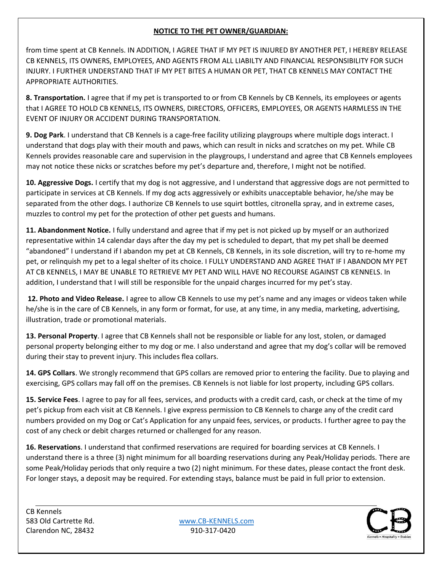from time spent at CB Kennels. IN ADDITION, I AGREE THAT IF MY PET IS INJURED BY ANOTHER PET, I HEREBY RELEASE CB KENNELS, ITS OWNERS, EMPLOYEES, AND AGENTS FROM ALL LIABILTY AND FINANCIAL RESPONSIBILITY FOR SUCH INJURY. I FURTHER UNDERSTAND THAT IF MY PET BITES A HUMAN OR PET, THAT CB KENNELS MAY CONTACT THE APPROPRIATE AUTHORITIES.

**8. Transportation.** I agree that if my pet is transported to or from CB Kennels by CB Kennels, its employees or agents that I AGREE TO HOLD CB KENNELS, ITS OWNERS, DIRECTORS, OFFICERS, EMPLOYEES, OR AGENTS HARMLESS IN THE EVENT OF INJURY OR ACCIDENT DURING TRANSPORTATION.

**9. Dog Park**. I understand that CB Kennels is a cage-free facility utilizing playgroups where multiple dogs interact. I understand that dogs play with their mouth and paws, which can result in nicks and scratches on my pet. While CB Kennels provides reasonable care and supervision in the playgroups, I understand and agree that CB Kennels employees may not notice these nicks or scratches before my pet's departure and, therefore, I might not be notified.

**10. Aggressive Dogs.** I certify that my dog is not aggressive, and I understand that aggressive dogs are not permitted to participate in services at CB Kennels. If my dog acts aggressively or exhibits unacceptable behavior, he/she may be separated from the other dogs. I authorize CB Kennels to use squirt bottles, citronella spray, and in extreme cases, muzzles to control my pet for the protection of other pet guests and humans.

**11. Abandonment Notice.** I fully understand and agree that if my pet is not picked up by myself or an authorized representative within 14 calendar days after the day my pet is scheduled to depart, that my pet shall be deemed "abandoned" I understand if I abandon my pet at CB Kennels, CB Kennels, in its sole discretion, will try to re-home my pet, or relinquish my pet to a legal shelter of its choice. I FULLY UNDERSTAND AND AGREE THAT IF I ABANDON MY PET AT CB KENNELS, I MAY BE UNABLE TO RETRIEVE MY PET AND WILL HAVE NO RECOURSE AGAINST CB KENNELS. In addition, I understand that I will still be responsible for the unpaid charges incurred for my pet's stay.

**12. Photo and Video Release.** I agree to allow CB Kennels to use my pet's name and any images or videos taken while he/she is in the care of CB Kennels, in any form or format, for use, at any time, in any media, marketing, advertising, illustration, trade or promotional materials.

**13. Personal Property**. I agree that CB Kennels shall not be responsible or liable for any lost, stolen, or damaged personal property belonging either to my dog or me. I also understand and agree that my dog's collar will be removed during their stay to prevent injury. This includes flea collars.

**14. GPS Collars**. We strongly recommend that GPS collars are removed prior to entering the facility. Due to playing and exercising, GPS collars may fall off on the premises. CB Kennels is not liable for lost property, including GPS collars.

**15. Service Fees**. I agree to pay for all fees, services, and products with a credit card, cash, or check at the time of my pet's pickup from each visit at CB Kennels. I give express permission to CB Kennels to charge any of the credit card numbers provided on my Dog or Cat's Application for any unpaid fees, services, or products. I further agree to pay the cost of any check or debit charges returned or challenged for any reason.

**16. Reservations**. I understand that confirmed reservations are required for boarding services at CB Kennels. I understand there is a three (3) night minimum for all boarding reservations during any Peak/Holiday periods. There are some Peak/Holiday periods that only require a two (2) night minimum. For these dates, please contact the front desk. For longer stays, a deposit may be required. For extending stays, balance must be paid in full prior to extension.

CB Kennels Clarendon NC, 28432 910-317-0420

583 Old Cartrette Rd. [www.CB-KENNELS.com](http://www.cb-kennels.com/)

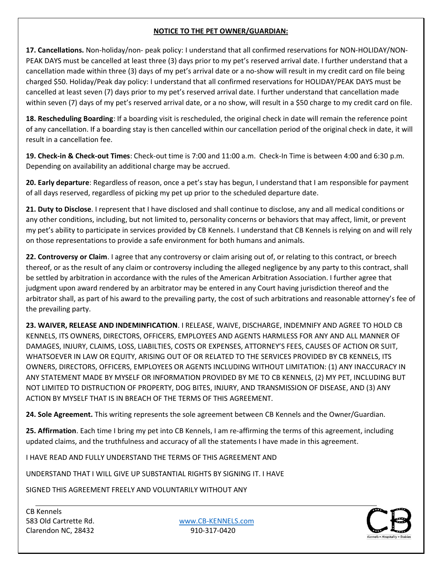**17. Cancellations.** Non-holiday/non- peak policy: I understand that all confirmed reservations for NON-HOLIDAY/NON-PEAK DAYS must be cancelled at least three (3) days prior to my pet's reserved arrival date. I further understand that a cancellation made within three (3) days of my pet's arrival date or a no-show will result in my credit card on file being charged \$50. Holiday/Peak day policy: I understand that all confirmed reservations for HOLIDAY/PEAK DAYS must be cancelled at least seven (7) days prior to my pet's reserved arrival date. I further understand that cancellation made within seven (7) days of my pet's reserved arrival date, or a no show, will result in a \$50 charge to my credit card on file.

**18. Rescheduling Boarding**: If a boarding visit is rescheduled, the original check in date will remain the reference point of any cancellation. If a boarding stay is then cancelled within our cancellation period of the original check in date, it will result in a cancellation fee.

**19. Check-in & Check-out Times**: Check-out time is 7:00 and 11:00 a.m. Check-In Time is between 4:00 and 6:30 p.m. Depending on availability an additional charge may be accrued.

**20. Early departure**: Regardless of reason, once a pet's stay has begun, I understand that I am responsible for payment of all days reserved, regardless of picking my pet up prior to the scheduled departure date.

**21. Duty to Disclose**. I represent that I have disclosed and shall continue to disclose, any and all medical conditions or any other conditions, including, but not limited to, personality concerns or behaviors that may affect, limit, or prevent my pet's ability to participate in services provided by CB Kennels. I understand that CB Kennels is relying on and will rely on those representations to provide a safe environment for both humans and animals.

**22. Controversy or Claim**. I agree that any controversy or claim arising out of, or relating to this contract, or breech thereof, or as the result of any claim or controversy including the alleged negligence by any party to this contract, shall be settled by arbitration in accordance with the rules of the American Arbitration Association. I further agree that judgment upon award rendered by an arbitrator may be entered in any Court having jurisdiction thereof and the arbitrator shall, as part of his award to the prevailing party, the cost of such arbitrations and reasonable attorney's fee of the prevailing party.

**23. WAIVER, RELEASE AND INDEMINFICATION**. I RELEASE, WAIVE, DISCHARGE, INDEMNIFY AND AGREE TO HOLD CB KENNELS, ITS OWNERS, DIRECTORS, OFFICERS, EMPLOYEES AND AGENTS HARMLESS FOR ANY AND ALL MANNER OF DAMAGES, INJURY, CLAIMS, LOSS, LIABILTIES, COSTS OR EXPENSES, ATTORNEY'S FEES, CAUSES OF ACTION OR SUIT, WHATSOEVER IN LAW OR EQUITY, ARISING OUT OF OR RELATED TO THE SERVICES PROVIDED BY CB KENNELS, ITS OWNERS, DIRECTORS, OFFICERS, EMPLOYEES OR AGENTS INCLUDING WITHOUT LIMITATION: (1) ANY INACCURACY IN ANY STATEMENT MADE BY MYSELF OR INFORMATION PROVIDED BY ME TO CB KENNELS, (2) MY PET, INCLUDING BUT NOT LIMITED TO DISTRUCTION OF PROPERTY, DOG BITES, INJURY, AND TRANSMISSION OF DISEASE, AND (3) ANY ACTION BY MYSELF THAT IS IN BREACH OF THE TERMS OF THIS AGREEMENT.

**24. Sole Agreement.** This writing represents the sole agreement between CB Kennels and the Owner/Guardian.

**25. Affirmation**. Each time I bring my pet into CB Kennels, I am re-affirming the terms of this agreement, including updated claims, and the truthfulness and accuracy of all the statements I have made in this agreement.

I HAVE READ AND FULLY UNDERSTAND THE TERMS OF THIS AGREEMENT AND

UNDERSTAND THAT I WILL GIVE UP SUBSTANTIAL RIGHTS BY SIGNING IT. I HAVE

SIGNED THIS AGREEMENT FREELY AND VOLUNTARILY WITHOUT ANY

CB Kennels Clarendon NC, 28432 910-317-0420

583 Old Cartrette Rd. [www.CB-KENNELS.com](http://www.cb-kennels.com/)